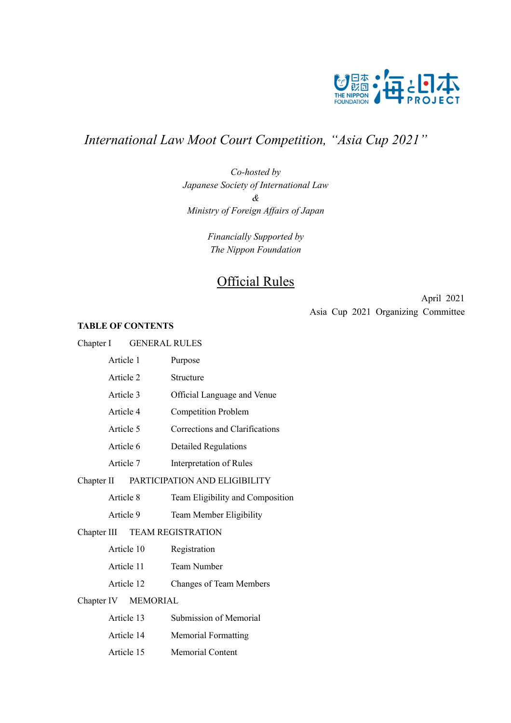

# *International Law Moot Court Competition, "Asia Cup 2021"*

*Co-hosted by Japanese Society of International Law & Ministry of Foreign Affairs of Japan*

> *Financially Supported by The Nippon Foundation*

# Official Rules

April 2021 Asia Cup 2021 Organizing Committee

# **TABLE OF CONTENTS**

| <b>GENERAL RULES</b><br>Chapter I |                                  |
|-----------------------------------|----------------------------------|
| Article 1                         | Purpose                          |
| Article 2                         | Structure                        |
| Article 3                         | Official Language and Venue      |
| Article 4                         | <b>Competition Problem</b>       |
| Article 5                         | Corrections and Clarifications   |
| Article 6                         | <b>Detailed Regulations</b>      |
| Article 7                         | Interpretation of Rules          |
| Chapter II                        | PARTICIPATION AND ELIGIBILITY    |
| Article 8                         | Team Eligibility and Composition |
| Article 9                         | Team Member Eligibility          |
| Chapter III                       | <b>TEAM REGISTRATION</b>         |
| Article 10                        | Registration                     |
| Article 11                        | <b>Team Number</b>               |
| Article 12                        | <b>Changes of Team Members</b>   |
| Chapter IV MEMORIAL               |                                  |
| Article 13                        | Submission of Memorial           |
| Article 14                        | <b>Memorial Formatting</b>       |
| Article 15                        | Memorial Content                 |
|                                   |                                  |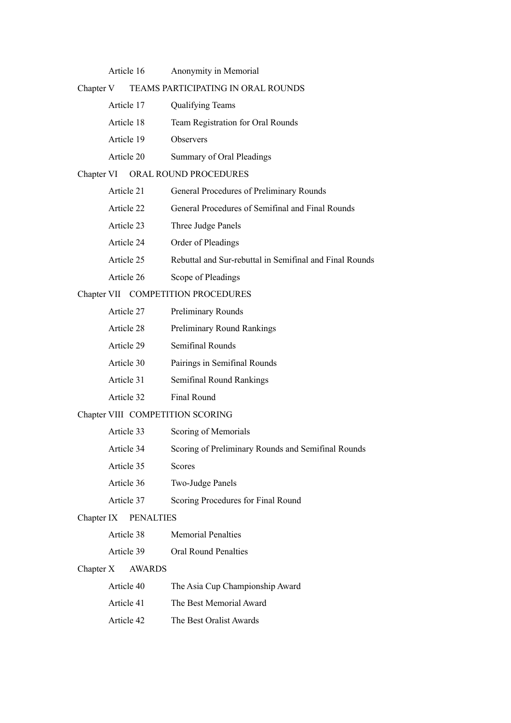| Article 16 | Anonymity in Memorial |  |
|------------|-----------------------|--|
|            |                       |  |

# Chapter V TEAMS PARTICIPATING IN ORAL ROUNDS

| Article 17 | <b>Qualifying Teams</b>           |
|------------|-----------------------------------|
| Article 18 | Team Registration for Oral Rounds |
| Article 19 | <b>Observers</b>                  |
| Article 20 | Summary of Oral Pleadings         |

# Chapter VI ORAL ROUND PROCEDURES

| Article 21 | General Procedures of Preliminary Rounds                |
|------------|---------------------------------------------------------|
| Article 22 | General Procedures of Semifinal and Final Rounds        |
| Article 23 | Three Judge Panels                                      |
| Article 24 | Order of Pleadings                                      |
| Article 25 | Rebuttal and Sur-rebuttal in Semifinal and Final Rounds |
| Article 26 | Scope of Pleadings                                      |

# Chapter VII COMPETITION PROCEDURES

| Article 27 | <b>Preliminary Rounds</b>         |
|------------|-----------------------------------|
| Article 28 | <b>Preliminary Round Rankings</b> |
| Article 29 | Semifinal Rounds                  |
| Article 30 | Pairings in Semifinal Rounds      |
| Article 31 | Semifinal Round Rankings          |
| Article 32 | Final Round                       |

# Chapter VIII COMPETITION SCORING

| Article 33 | Scoring of Memorials                               |
|------------|----------------------------------------------------|
| Article 34 | Scoring of Preliminary Rounds and Semifinal Rounds |
| Article 35 | <b>Scores</b>                                      |
| Article 36 | Two-Judge Panels                                   |
| Article 37 | Scoring Procedures for Final Round                 |

# Chapter IX PENALTIES

| Article 38 | <b>Memorial Penalties</b> |
|------------|---------------------------|
|------------|---------------------------|

Article 39 Oral Round Penalties

# Chapter X AWARDS

| Article 40 | The Asia Cup Championship Award |
|------------|---------------------------------|
| Article 41 | The Best Memorial Award         |
| Article 42 | The Best Oralist Awards         |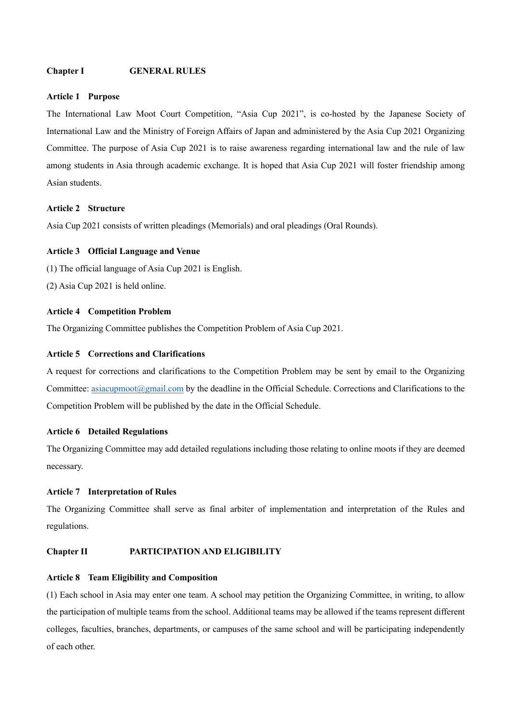# **Chapter I GENERAL RULES**

#### **Article 1 Purpose**

The International Law Moot Court Competition, "Asia Cup 2021", is co-hosted by the Japanese Society of International Law and the Ministry of Foreign Affairs of Japan and administered by the Asia Cup 2021 Organizing Committee. The purpose of Asia Cup 2021 is to raise awareness regarding international law and the rule of law among students in Asia through academic exchange. It is hoped that Asia Cup 2021 will foster friendship among Asian students.

# **Article 2 Structure**

Asia Cup 2021 consists of written pleadings (Memorials) and oral pleadings (Oral Rounds).

#### **Article 3 Official Language and Venue**

- (1) The official language of Asia Cup 2021 is English.
- (2) Asia Cup 2021 is held online.

#### **Article 4 Competition Problem**

The Organizing Committee publishes the Competition Problem of Asia Cup 2021.

# **Article 5 Corrections and Clarifications**

A request for corrections and clarifications to the Competition Problem may be sent by email to the Organizing Committee: asiacupmoot@gmail.com by the deadline in the Official Schedule. Corrections and Clarifications to the Competition Problem will be published by the date in the Official Schedule.

#### **Article 6 Detailed Regulations**

The Organizing Committee may add detailed regulations including those relating to online moots if they are deemed necessary.

#### **Article 7 Interpretation of Rules**

The Organizing Committee shall serve as final arbiter of implementation and interpretation of the Rules and regulations.

#### **Chapter II PARTICIPATION AND ELIGIBILITY**

### **Article 8 Team Eligibility and Composition**

(1) Each school in Asia may enter one team. A school may petition the Organizing Committee, in writing, to allow the participation of multiple teams from the school. Additional teams may be allowed if the teams represent different colleges, faculties, branches, departments, or campuses of the same school and will be participating independently of each other.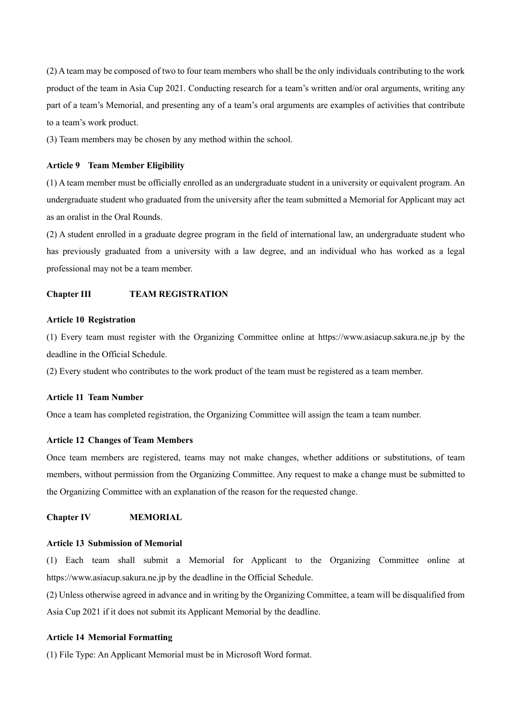(2) A team may be composed of two to four team members who shall be the only individuals contributing to the work product of the team in Asia Cup 2021. Conducting research for a team's written and/or oral arguments, writing any part of a team's Memorial, and presenting any of a team's oral arguments are examples of activities that contribute to a team's work product.

(3) Team members may be chosen by any method within the school.

#### **Article 9 Team Member Eligibility**

(1) A team member must be officially enrolled as an undergraduate student in a university or equivalent program. An undergraduate student who graduated from the university after the team submitted a Memorial for Applicant may act as an oralist in the Oral Rounds.

(2) A student enrolled in a graduate degree program in the field of international law, an undergraduate student who has previously graduated from a university with a law degree, and an individual who has worked as a legal professional may not be a team member.

#### **Chapter III TEAM REGISTRATION**

#### **Article 10 Registration**

(1) Every team must register with the Organizing Committee online at https://www.asiacup.sakura.ne.jp by the deadline in the Official Schedule.

(2) Every student who contributes to the work product of the team must be registered as a team member.

#### **Article 11 Team Number**

Once a team has completed registration, the Organizing Committee will assign the team a team number.

#### **Article 12 Changes of Team Members**

Once team members are registered, teams may not make changes, whether additions or substitutions, of team members, without permission from the Organizing Committee. Any request to make a change must be submitted to the Organizing Committee with an explanation of the reason for the requested change.

#### **Chapter IV MEMORIAL**

#### **Article 13 Submission of Memorial**

(1) Each team shall submit a Memorial for Applicant to the Organizing Committee online at https://www.asiacup.sakura.ne.jp by the deadline in the Official Schedule.

(2) Unless otherwise agreed in advance and in writing by the Organizing Committee, a team will be disqualified from Asia Cup 2021 if it does not submit its Applicant Memorial by the deadline.

#### **Article 14 Memorial Formatting**

(1) File Type: An Applicant Memorial must be in Microsoft Word format.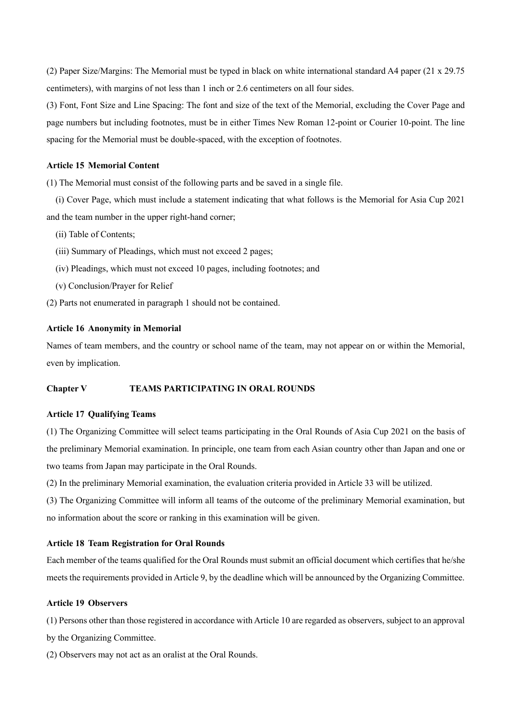(2) Paper Size/Margins: The Memorial must be typed in black on white international standard A4 paper (21 x 29.75 centimeters), with margins of not less than 1 inch or 2.6 centimeters on all four sides.

(3) Font, Font Size and Line Spacing: The font and size of the text of the Memorial, excluding the Cover Page and page numbers but including footnotes, must be in either Times New Roman 12-point or Courier 10-point. The line spacing for the Memorial must be double-spaced, with the exception of footnotes.

# **Article 15 Memorial Content**

(1) The Memorial must consist of the following parts and be saved in a single file.

(i) Cover Page, which must include a statement indicating that what follows is the Memorial for Asia Cup 2021 and the team number in the upper right-hand corner;

- (ii) Table of Contents;
- (iii) Summary of Pleadings, which must not exceed 2 pages;
- (iv) Pleadings, which must not exceed 10 pages, including footnotes; and
- (v) Conclusion/Prayer for Relief

(2) Parts not enumerated in paragraph 1 should not be contained.

#### **Article 16 Anonymity in Memorial**

Names of team members, and the country or school name of the team, may not appear on or within the Memorial, even by implication.

#### **Chapter V TEAMS PARTICIPATING IN ORAL ROUNDS**

#### **Article 17 Qualifying Teams**

(1) The Organizing Committee will select teams participating in the Oral Rounds of Asia Cup 2021 on the basis of the preliminary Memorial examination. In principle, one team from each Asian country other than Japan and one or two teams from Japan may participate in the Oral Rounds.

(2) In the preliminary Memorial examination, the evaluation criteria provided in Article 33 will be utilized.

(3) The Organizing Committee will inform all teams of the outcome of the preliminary Memorial examination, but no information about the score or ranking in this examination will be given.

#### **Article 18 Team Registration for Oral Rounds**

Each member of the teams qualified for the Oral Rounds must submit an official document which certifies that he/she meets the requirements provided in Article 9, by the deadline which will be announced by the Organizing Committee.

### **Article 19 Observers**

(1) Persons other than those registered in accordance with Article 10 are regarded as observers, subject to an approval by the Organizing Committee.

(2) Observers may not act as an oralist at the Oral Rounds.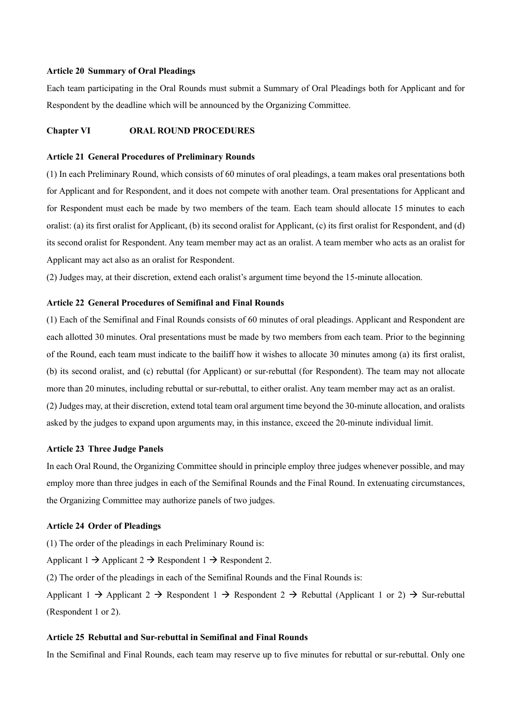#### **Article 20 Summary of Oral Pleadings**

Each team participating in the Oral Rounds must submit a Summary of Oral Pleadings both for Applicant and for Respondent by the deadline which will be announced by the Organizing Committee.

### **Chapter VI ORAL ROUND PROCEDURES**

#### **Article 21 General Procedures of Preliminary Rounds**

(1) In each Preliminary Round, which consists of 60 minutes of oral pleadings, a team makes oral presentations both for Applicant and for Respondent, and it does not compete with another team. Oral presentations for Applicant and for Respondent must each be made by two members of the team. Each team should allocate 15 minutes to each oralist: (a) its first oralist for Applicant, (b) its second oralist for Applicant, (c) its first oralist for Respondent, and (d) its second oralist for Respondent. Any team member may act as an oralist. A team member who acts as an oralist for Applicant may act also as an oralist for Respondent.

(2) Judges may, at their discretion, extend each oralist's argument time beyond the 15-minute allocation.

#### **Article 22 General Procedures of Semifinal and Final Rounds**

(1) Each of the Semifinal and Final Rounds consists of 60 minutes of oral pleadings. Applicant and Respondent are each allotted 30 minutes. Oral presentations must be made by two members from each team. Prior to the beginning of the Round, each team must indicate to the bailiff how it wishes to allocate 30 minutes among (a) its first oralist, (b) its second oralist, and (c) rebuttal (for Applicant) or sur-rebuttal (for Respondent). The team may not allocate more than 20 minutes, including rebuttal or sur-rebuttal, to either oralist. Any team member may act as an oralist. (2) Judges may, at their discretion, extend total team oral argument time beyond the 30-minute allocation, and oralists asked by the judges to expand upon arguments may, in this instance, exceed the 20-minute individual limit.

#### **Article 23 Three Judge Panels**

In each Oral Round, the Organizing Committee should in principle employ three judges whenever possible, and may employ more than three judges in each of the Semifinal Rounds and the Final Round. In extenuating circumstances, the Organizing Committee may authorize panels of two judges.

#### **Article 24 Order of Pleadings**

(1) The order of the pleadings in each Preliminary Round is:

Applicant 1  $\rightarrow$  Applicant 2  $\rightarrow$  Respondent 1  $\rightarrow$  Respondent 2.

(2) The order of the pleadings in each of the Semifinal Rounds and the Final Rounds is:

Applicant 1  $\rightarrow$  Applicant 2  $\rightarrow$  Respondent 1  $\rightarrow$  Respondent 2  $\rightarrow$  Rebuttal (Applicant 1 or 2)  $\rightarrow$  Sur-rebuttal (Respondent 1 or 2).

#### **Article 25 Rebuttal and Sur-rebuttal in Semifinal and Final Rounds**

In the Semifinal and Final Rounds, each team may reserve up to five minutes for rebuttal or sur-rebuttal. Only one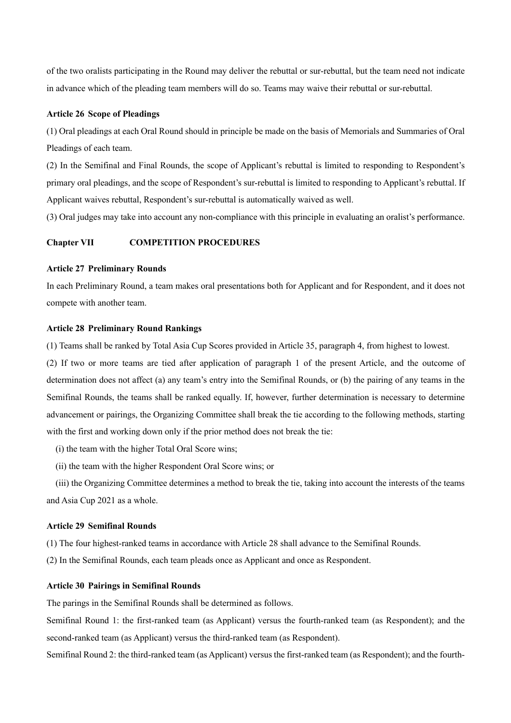of the two oralists participating in the Round may deliver the rebuttal or sur-rebuttal, but the team need not indicate in advance which of the pleading team members will do so. Teams may waive their rebuttal or sur-rebuttal.

#### **Article 26 Scope of Pleadings**

(1) Oral pleadings at each Oral Round should in principle be made on the basis of Memorials and Summaries of Oral Pleadings of each team.

(2) In the Semifinal and Final Rounds, the scope of Applicant's rebuttal is limited to responding to Respondent's primary oral pleadings, and the scope of Respondent's sur-rebuttal is limited to responding to Applicant's rebuttal. If Applicant waives rebuttal, Respondent's sur-rebuttal is automatically waived as well.

(3) Oral judges may take into account any non-compliance with this principle in evaluating an oralist's performance.

# **Chapter VII COMPETITION PROCEDURES**

#### **Article 27 Preliminary Rounds**

In each Preliminary Round, a team makes oral presentations both for Applicant and for Respondent, and it does not compete with another team.

#### **Article 28 Preliminary Round Rankings**

(1) Teams shall be ranked by Total Asia Cup Scores provided in Article 35, paragraph 4, from highest to lowest.

(2) If two or more teams are tied after application of paragraph 1 of the present Article, and the outcome of determination does not affect (a) any team's entry into the Semifinal Rounds, or (b) the pairing of any teams in the Semifinal Rounds, the teams shall be ranked equally. If, however, further determination is necessary to determine advancement or pairings, the Organizing Committee shall break the tie according to the following methods, starting with the first and working down only if the prior method does not break the tie:

(i) the team with the higher Total Oral Score wins;

(ii) the team with the higher Respondent Oral Score wins; or

(iii) the Organizing Committee determines a method to break the tie, taking into account the interests of the teams and Asia Cup 2021 as a whole.

### **Article 29 Semifinal Rounds**

(1) The four highest-ranked teams in accordance with Article 28 shall advance to the Semifinal Rounds.

(2) In the Semifinal Rounds, each team pleads once as Applicant and once as Respondent.

#### **Article 30 Pairings in Semifinal Rounds**

The parings in the Semifinal Rounds shall be determined as follows.

Semifinal Round 1: the first-ranked team (as Applicant) versus the fourth-ranked team (as Respondent); and the second-ranked team (as Applicant) versus the third-ranked team (as Respondent).

Semifinal Round 2: the third-ranked team (as Applicant) versus the first-ranked team (as Respondent); and the fourth-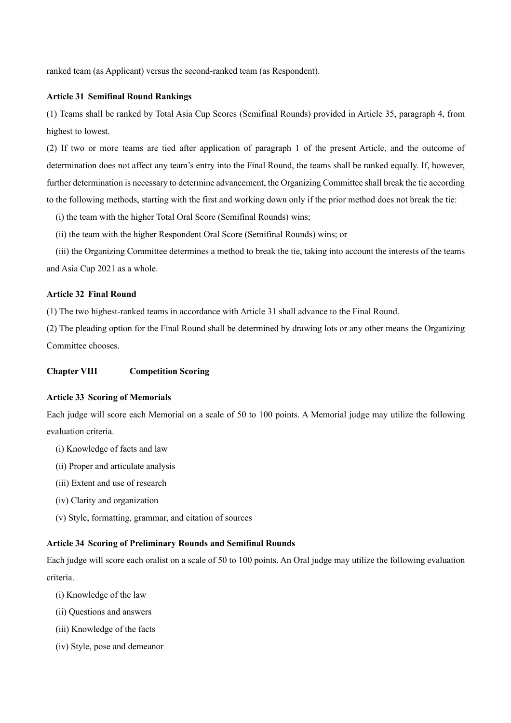ranked team (as Applicant) versus the second-ranked team (as Respondent).

#### **Article 31 Semifinal Round Rankings**

(1) Teams shall be ranked by Total Asia Cup Scores (Semifinal Rounds) provided in Article 35, paragraph 4, from highest to lowest.

(2) If two or more teams are tied after application of paragraph 1 of the present Article, and the outcome of determination does not affect any team's entry into the Final Round, the teams shall be ranked equally. If, however, further determination is necessary to determine advancement, the Organizing Committee shall break the tie according to the following methods, starting with the first and working down only if the prior method does not break the tie:

(i) the team with the higher Total Oral Score (Semifinal Rounds) wins;

(ii) the team with the higher Respondent Oral Score (Semifinal Rounds) wins; or

(iii) the Organizing Committee determines a method to break the tie, taking into account the interests of the teams and Asia Cup 2021 as a whole.

#### **Article 32 Final Round**

(1) The two highest-ranked teams in accordance with Article 31 shall advance to the Final Round.

(2) The pleading option for the Final Round shall be determined by drawing lots or any other means the Organizing Committee chooses.

# **Chapter VIII Competition Scoring**

#### **Article 33 Scoring of Memorials**

Each judge will score each Memorial on a scale of 50 to 100 points. A Memorial judge may utilize the following evaluation criteria.

- (i) Knowledge of facts and law
- (ii) Proper and articulate analysis
- (iii) Extent and use of research
- (iv) Clarity and organization
- (v) Style, formatting, grammar, and citation of sources

#### **Article 34 Scoring of Preliminary Rounds and Semifinal Rounds**

Each judge will score each oralist on a scale of 50 to 100 points. An Oral judge may utilize the following evaluation criteria.

- (i) Knowledge of the law
- (ii) Questions and answers
- (iii) Knowledge of the facts
- (iv) Style, pose and demeanor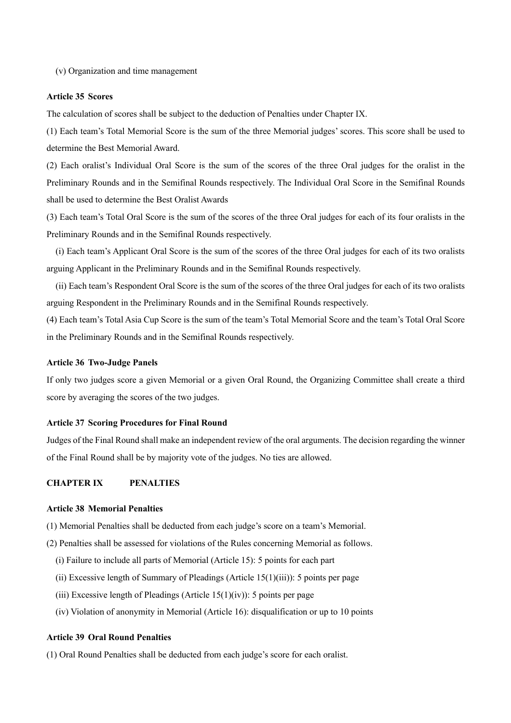(v) Organization and time management

#### **Article 35 Scores**

The calculation of scores shall be subject to the deduction of Penalties under Chapter IX.

(1) Each team's Total Memorial Score is the sum of the three Memorial judges' scores. This score shall be used to determine the Best Memorial Award.

(2) Each oralist's Individual Oral Score is the sum of the scores of the three Oral judges for the oralist in the Preliminary Rounds and in the Semifinal Rounds respectively. The Individual Oral Score in the Semifinal Rounds shall be used to determine the Best Oralist Awards

(3) Each team's Total Oral Score is the sum of the scores of the three Oral judges for each of its four oralists in the Preliminary Rounds and in the Semifinal Rounds respectively.

(i) Each team's Applicant Oral Score is the sum of the scores of the three Oral judges for each of its two oralists arguing Applicant in the Preliminary Rounds and in the Semifinal Rounds respectively.

(ii) Each team's Respondent Oral Score is the sum of the scores of the three Oral judges for each of its two oralists arguing Respondent in the Preliminary Rounds and in the Semifinal Rounds respectively.

(4) Each team's Total Asia Cup Score is the sum of the team's Total Memorial Score and the team's Total Oral Score in the Preliminary Rounds and in the Semifinal Rounds respectively.

#### **Article 36 Two-Judge Panels**

If only two judges score a given Memorial or a given Oral Round, the Organizing Committee shall create a third score by averaging the scores of the two judges.

#### **Article 37 Scoring Procedures for Final Round**

Judges of the Final Round shall make an independent review of the oral arguments. The decision regarding the winner of the Final Round shall be by majority vote of the judges. No ties are allowed.

# **CHAPTER IX PENALTIES**

#### **Article 38 Memorial Penalties**

- (1) Memorial Penalties shall be deducted from each judge's score on a team's Memorial.
- (2) Penalties shall be assessed for violations of the Rules concerning Memorial as follows.
	- (i) Failure to include all parts of Memorial (Article 15): 5 points for each part
	- (ii) Excessive length of Summary of Pleadings (Article  $15(1)(iii)$ ): 5 points per page
	- (iii) Excessive length of Pleadings (Article  $15(1)(iv)$ ): 5 points per page
	- (iv) Violation of anonymity in Memorial (Article 16): disqualification or up to 10 points

### **Article 39 Oral Round Penalties**

(1) Oral Round Penalties shall be deducted from each judge's score for each oralist.